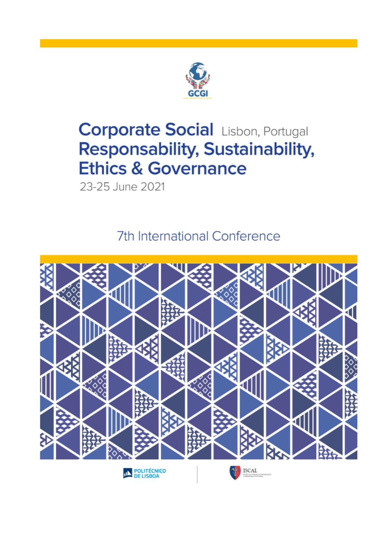

# **Corporate Social Lisbon, Portugal Responsability, Sustainability, Ethics & Governance**

23-25 June 2021

7th International Conference

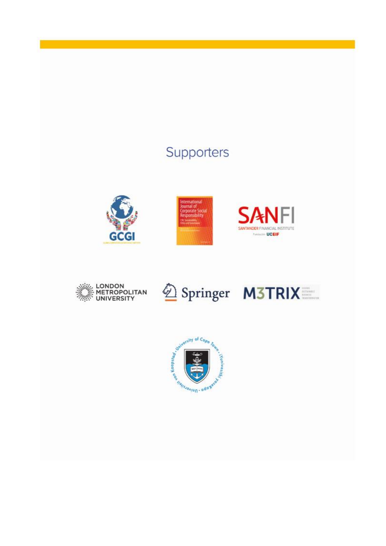## Supporters











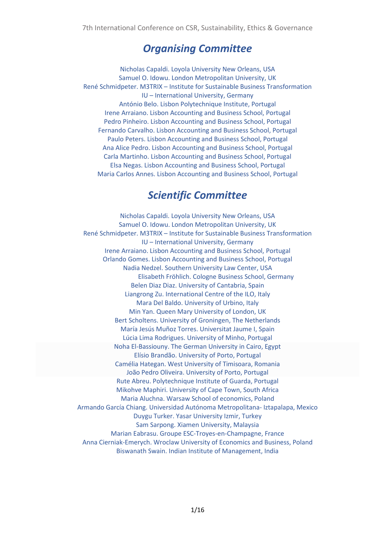## *Organising Committee*

Nicholas Capaldi. Loyola University New Orleans, USA Samuel O. Idowu. London Metropolitan University, UK René Schmidpeter. M3TRIX – Institute for Sustainable Business Transformation IU – International University, Germany António Belo. Lisbon Polytechnique Institute, Portugal Irene Arraiano. Lisbon Accounting and Business School, Portugal Pedro Pinheiro. Lisbon Accounting and Business School, Portugal Fernando Carvalho. Lisbon Accounting and Business School, Portugal Paulo Peters. Lisbon Accounting and Business School, Portugal Ana Alice Pedro. Lisbon Accounting and Business School, Portugal Carla Martinho. Lisbon Accounting and Business School, Portugal Elsa Negas. Lisbon Accounting and Business School, Portugal Maria Carlos Annes. Lisbon Accounting and Business School, Portugal

## *Scientific Committee*

Nicholas Capaldi. Loyola University New Orleans, USA Samuel O. Idowu. London Metropolitan University, UK René Schmidpeter. M3TRIX – Institute for Sustainable Business Transformation IU – International University, Germany Irene Arraiano. Lisbon Accounting and Business School, Portugal Orlando Gomes. Lisbon Accounting and Business School, Portugal Nadia Nedzel. Southern University Law Center, USA Elisabeth Fröhlich. Cologne Business School, Germany Belen Diaz Diaz. University of Cantabria, Spain Liangrong Zu. International Centre of the ILO, Italy Mara Del Baldo. University of Urbino, Italy Min Yan. Queen Mary University of London, UK Bert Scholtens. University of Groningen, The Netherlands María Jesús Muñoz Torres. Universitat Jaume I, Spain Lúcia Lima Rodrigues. University of Minho, Portugal Noha El-Bassiouny. The German University in Cairo, Egypt Elísio Brandão. University of Porto, Portugal Camélia Hategan. West University of Timisoara, Romania João Pedro Oliveira. University of Porto, Portugal Rute Abreu. Polytechnique Institute of Guarda, Portugal Mikohve Maphiri. University of Cape Town, South Africa Maria Aluchna. Warsaw School of economics, Poland Armando García Chiang. Universidad Autónoma Metropolitana- Iztapalapa, Mexico Duygu Turker. Yasar University Izmir, Turkey Sam Sarpong. Xiamen University, Malaysia Marian Eabrasu. Groupe ESC-Troyes-en-Champagne, France Anna Cierniak-Emerych. Wroclaw University of Economics and Business, Poland Biswanath Swain. Indian Institute of Management, India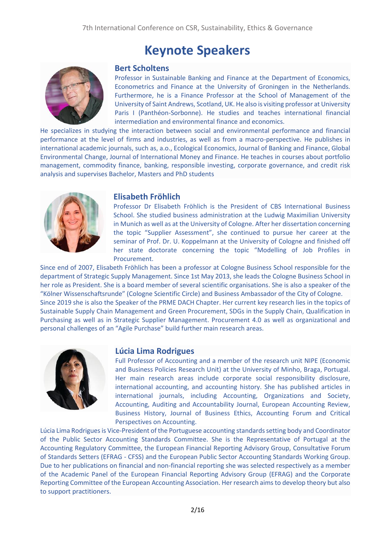## **Keynote Speakers**



#### **Bert Scholtens**

Professor in Sustainable Banking and Finance at the Department of Economics, Econometrics and Finance at the University of Groningen in the Netherlands. Furthermore, he is a Finance Professor at the School of Management of the University of Saint Andrews, Scotland, UK. He also is visiting professor at University Paris I (Panthéon-Sorbonne). He studies and teaches international financial intermediation and environmental finance and economics.

He specializes in studying the interaction between social and environmental performance and financial performance at the level of firms and industries, as well as from a macro-perspective. He publishes in international academic journals, such as, a.o., Ecological Economics, Journal of Banking and Finance, Global Environmental Change, Journal of International Money and Finance. He teaches in courses about portfolio management, commodity finance, banking, responsible investing, corporate governance, and credit risk analysis and supervises Bachelor, Masters and PhD students



#### **Elisabeth Fröhlich**

Professor Dr Elisabeth Fröhlich is the President of CBS International Business School. She studied business administration at the Ludwig Maximilian University in Munich as well as at the University of Cologne. After her dissertation concerning the topic "Supplier Assessment", she continued to pursue her career at the seminar of Prof. Dr. U. Koppelmann at the University of Cologne and finished off her state doctorate concerning the topic "Modelling of Job Profiles in Procurement.

Since end of 2007, Elisabeth Fröhlich has been a professor at Cologne Business School responsible for the department of Strategic Supply Management. Since 1st May 2013, she leads the Cologne Business School in her role as President. She is a board member of several scientific organisations. She is also a speaker of the "Kölner Wissenschaftsrunde" (Cologne Scientific Circle) and Business Ambassador of the City of Cologne. Since 2019 she is also the Speaker of the PRME DACH Chapter. Her current key research lies in the topics of

Sustainable Supply Chain Management and Green Procurement, SDGs in the Supply Chain, Qualification in Purchasing as well as in Strategic Supplier Management. Procurement 4.0 as well as organizational and personal challenges of an "Agile Purchase" build further main research areas.



#### **Lúcia Lima Rodrigues**

Full Professor of Accounting and a member of the research unit NIPE (Economic and Business Policies Research Unit) at the University of Minho, Braga, Portugal. Her main research areas include corporate social responsibility disclosure, international accounting, and accounting history. She has published articles in international journals, including Accounting, Organizations and Society, Accounting, Auditing and Accountability Journal, European Accounting Review, Business History, Journal of Business Ethics, Accounting Forum and Critical Perspectives on Accounting.

Lúcia Lima Rodrigues is Vice-President of the Portuguese accounting standards setting body and Coordinator of the Public Sector Accounting Standards Committee. She is the Representative of Portugal at the Accounting Regulatory Committee, the European Financial Reporting Advisory Group, Consultative Forum of Standards Setters (EFRAG - CFSS) and the European Public Sector Accounting Standards Working Group. Due to her publications on financial and non-financial reporting she was selected respectively as a member of the Academic Panel of the European Financial Reporting Advisory Group (EFRAG) and the Corporate Reporting Committee of the European Accounting Association. Her research aims to develop theory but also to support practitioners.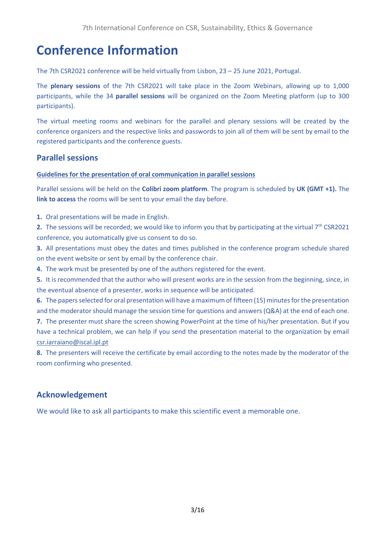## **Conference Information**

The 7th CSR2021 conference will be held virtually from Lisbon, 23 – 25 June 2021, Portugal.

The **plenary sessions** of the 7th CSR2021 will take place in the Zoom Webinars, allowing up to 1,000 participants, while the 34 **parallel sessions** will be organized on the Zoom Meeting platform (up to 300 participants).

The virtual meeting rooms and webinars for the parallel and plenary sessions will be created by the conference organizers and the respective links and passwords to join all of them will be sent by email to the registered participants and the conference guests.

### **Parallel sessions**

#### **Guidelines for the presentation of oral communication in parallel sessions**

Parallel sessions will be held on the **Colibri zoom platform**. The program is scheduled by **UK (GMT +1).** The **link to access** the rooms will be sent to your email the day before.

**1.** Oral presentations will be made in English.

**2.** The sessions will be recorded; we would like to inform you that by participating at the virtual 7<sup>th</sup> CSR2021 conference, you automatically give us consent to do so.

**3.** All presentations must obey the dates and times published in the conference program schedule shared on the event website or sent by email by the conference chair.

**4.** The work must be presented by one of the authors registered for the event.

**5.** It is recommended that the author who will present works are in the session from the beginning, since, in the eventual absence of a presenter, works in sequence will be anticipated.

**6.** The papers selected for oral presentation will have a maximum of fifteen (15) minutes for the presentation and the moderator should manage the session time for questions and answers (Q&A) at the end of each one.

**7.** The presenter must share the screen showing PowerPoint at the time of his/her presentation. But if you have a technical problem, we can help if you send the presentation material to the organization by email [csr.iarraiano@iscal.ipl.pt](mailto:csr.iarraiano@iscal.ipl.pt)

**8.** The presenters will receive the certificate by email according to the notes made by the moderator of the room confirming who presented.

### **Acknowledgement**

We would like to ask all participants to make this scientific event a memorable one.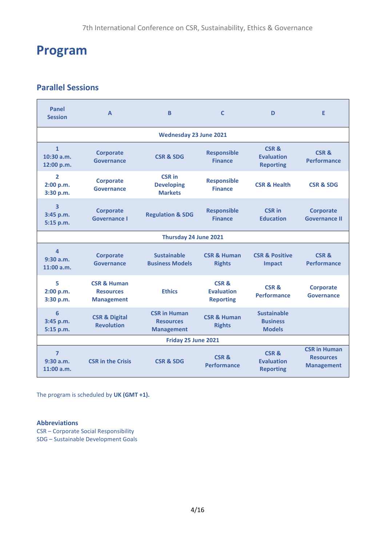## **Program**

## **Parallel Sessions**

| Panel<br><b>Session</b>                            | $\Delta$                                                        | R.                                                           | $\mathsf{C}$                                              | D                                                      | F                                                            |  |  |
|----------------------------------------------------|-----------------------------------------------------------------|--------------------------------------------------------------|-----------------------------------------------------------|--------------------------------------------------------|--------------------------------------------------------------|--|--|
| <b>Wednesday 23 June 2021</b>                      |                                                                 |                                                              |                                                           |                                                        |                                                              |  |  |
| $\mathbf{1}$<br>$10:30$ a.m.<br>12:00 p.m.         | <b>Corporate</b><br>Governance                                  | <b>CSR &amp; SDG</b>                                         | <b>Responsible</b><br><b>Finance</b>                      | CSR&<br><b>Evaluation</b><br><b>Reporting</b>          | CSR&<br>Performance                                          |  |  |
| $\overline{2}$<br>2:00 p.m.<br>3:30 p.m.           | <b>Corporate</b><br>Governance                                  | <b>CSR in</b><br><b>Developing</b><br><b>Markets</b>         | <b>Responsible</b><br><b>Finance</b>                      | <b>CSR &amp; Health</b>                                | <b>CSR &amp; SDG</b>                                         |  |  |
| $\overline{\mathbf{3}}$<br>3:45 p.m.<br>5:15 p.m.  | <b>Corporate</b><br><b>Governance I</b>                         | <b>Regulation &amp; SDG</b>                                  | <b>Responsible</b><br><b>Finance</b>                      | <b>CSR</b> in<br><b>Education</b>                      | <b>Corporate</b><br><b>Governance II</b>                     |  |  |
| Thursday 24 June 2021                              |                                                                 |                                                              |                                                           |                                                        |                                                              |  |  |
| $\overline{\mathbf{A}}$<br>9:30 a.m.<br>11:00 a.m. | <b>Corporate</b><br><b>Governance</b>                           | <b>Sustainable</b><br><b>Business Models</b>                 | <b>CSR &amp; Human</b><br><b>Rights</b>                   | <b>CSR &amp; Positive</b><br><b>Impact</b>             | CSR&<br><b>Performance</b>                                   |  |  |
| 5<br>2:00 p.m.<br>3:30 p.m.                        | <b>CSR &amp; Human</b><br><b>Resources</b><br><b>Management</b> | <b>Ethics</b>                                                | <b>CSR &amp;</b><br><b>Evaluation</b><br><b>Reporting</b> | CSR &<br><b>Performance</b>                            | <b>Corporate</b><br><b>Governance</b>                        |  |  |
| 6<br>3:45 p.m.<br>5:15 p.m.                        | <b>CSR &amp; Digital</b><br><b>Revolution</b>                   | <b>CSR in Human</b><br><b>Resources</b><br><b>Management</b> | <b>CSR &amp; Human</b><br><b>Rights</b>                   | <b>Sustainable</b><br><b>Business</b><br><b>Models</b> |                                                              |  |  |
| Friday 25 June 2021                                |                                                                 |                                                              |                                                           |                                                        |                                                              |  |  |
| $\overline{ }$<br>9:30 a.m.<br>11:00 a.m.          | <b>CSR in the Crisis</b>                                        | <b>CSR &amp; SDG</b>                                         | CSR <sub>&amp;</sub><br><b>Performance</b>                | CSR &<br><b>Evaluation</b><br><b>Reporting</b>         | <b>CSR in Human</b><br><b>Resources</b><br><b>Management</b> |  |  |

The program is scheduled by **UK (GMT +1).**

#### **Abbreviations**

CSR – Corporate Social Responsibility SDG – Sustainable Development Goals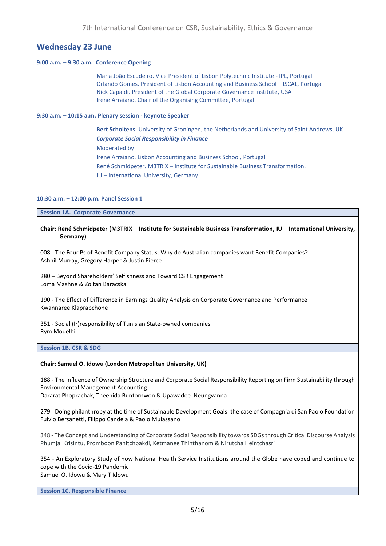### **Wednesday 23 June**

#### **9:00 a.m. – 9:30 a.m. Conference Opening**

Maria João Escudeiro. Vice President of Lisbon Polytechnic Institute - IPL, Portugal Orlando Gomes. President of Lisbon Accounting and Business School – ISCAL, Portugal Nick Capaldi. President of the Global Corporate Governance Institute, USA Irene Arraiano. Chair of the Organising Committee, Portugal

#### **9:30 a.m. – 10:15 a.m. Plenary session - keynote Speaker**

**Bert Scholtens**. University of Groningen, the Netherlands and University of Saint Andrews, UK *Corporate Social Responsibility in Finance* Moderated by Irene Arraiano. Lisbon Accounting and Business School, Portugal René Schmidpeter. M3TRIX – Institute for Sustainable Business Transformation, IU – International University, Germany

#### **10:30 a.m. – 12:00 p.m. Panel Session 1**

**Session 1A. Corporate Governance**

#### **Chair: René Schmidpeter (M3TRIX – Institute for Sustainable Business Transformation, IU – International University, Germany)**

008 - The Four Ps of Benefit Company Status: Why do Australian companies want Benefit Companies? Ashnil Murray, Gregory Harper & Justin Pierce

280 – Beyond Shareholders' Selfishness and Toward CSR Engagement Loma Mashne & Zoltan Baracskai

190 - The Effect of Difference in Earnings Quality Analysis on Corporate Governance and Performance Kwannaree Klaprabchone

351 - Social (Ir)responsibility of Tunisian State-owned companies Rym Mouelhi

#### **Session 1B. CSR & SDG**

#### **Chair: Samuel O. Idowu (London Metropolitan University, UK)**

188 - The Influence of Ownership Structure and Corporate Social Responsibility Reporting on Firm Sustainability through Environmental Management Accounting Dararat Phoprachak, Theenida Buntornwon & Upawadee Neungvanna

279 - Doing philanthropy at the time of Sustainable Development Goals: the case of Compagnia di San Paolo Foundation Fulvio Bersanetti, Filippo Candela & Paolo Mulassano

348 - The Concept and Understanding of Corporate Social Responsibility towards SDGs through Critical Discourse Analysis Phumjai Krisintu, Promboon Panitchpakdi, Ketmanee Thinthanom & Nirutcha Heintchasri

354 - An Exploratory Study of how National Health Service Institutions around the Globe have coped and continue to cope with the Covid-19 Pandemic Samuel O. Idowu & Mary T Idowu

**Session 1C. Responsible Finance**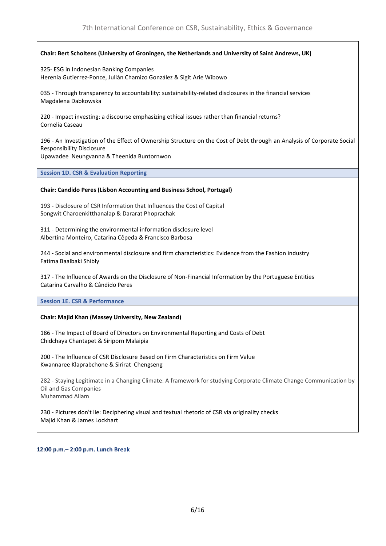#### **Chair: Bert Scholtens (University of Groningen, the Netherlands and University of Saint Andrews, UK)**

325- ESG in Indonesian Banking Companies Herenia Gutierrez-Ponce, Julián Chamizo González & Sigit Arie Wibowo

035 - Through transparency to accountability: sustainability-related disclosures in the financial services Magdalena Dabkowska

220 - Impact investing: a discourse emphasizing ethical issues rather than financial returns? Cornelia Caseau

196 - An Investigation of the Effect of Ownership Structure on the Cost of Debt through an Analysis of Corporate Social Responsibility Disclosure Upawadee Neungvanna & Theenida Buntornwon

**Session 1D. CSR & Evaluation Reporting**

#### **Chair: Candido Peres (Lisbon Accounting and Business School, Portugal)**

193 - Disclosure of CSR Information that Influences the Cost of Capital Songwit Charoenkitthanalap & Dararat Phoprachak

311 - Determining the environmental information disclosure level Albertina Monteiro, Catarina Cêpeda & Francisco Barbosa

244 - Social and environmental disclosure and firm characteristics: Evidence from the Fashion industry Fatima Baalbaki Shibly

317 - The Influence of Awards on the Disclosure of Non-Financial Information by the Portuguese Entities Catarina Carvalho & Cândido Peres

**Session 1E. CSR & Performance**

#### **Chair: Majid Khan (Massey University, New Zealand)**

186 - The Impact of Board of Directors on Environmental Reporting and Costs of Debt Chidchaya Chantapet & Siriporn Malaipia

200 - The Influence of CSR Disclosure Based on Firm Characteristics on Firm Value Kwannaree Klaprabchone & Sirirat Chengseng

282 - Staying Legitimate in a Changing Climate: A framework for studying Corporate Climate Change Communication by Oil and Gas Companies Muhammad Allam

230 - Pictures don't lie: Deciphering visual and textual rhetoric of CSR via originality checks Majid Khan & James Lockhart

12:00 p.m. - 2:00 p.m. Lunch Break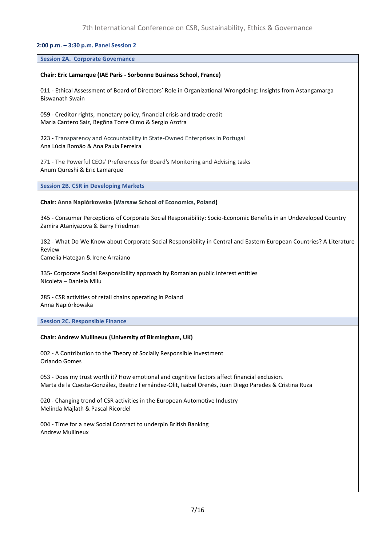#### 2:00 p.m. - 3:30 p.m. Panel Session 2

#### **Session 2A. Corporate Governance**

#### **Chair: Eric Lamarque (IAE Paris - Sorbonne Business School, France)**

011 - Ethical Assessment of Board of Directors' Role in Organizational Wrongdoing: Insights from Astangamarga Biswanath Swain

059 - Creditor rights, monetary policy, financial crisis and trade credit Maria Cantero Saiz, Begõna Torre Olmo & Sergio Azofra

223 - Transparency and Accountability in State-Owned Enterprises in Portugal Ana Lúcia Romão & Ana Paula Ferreira

271 - The Powerful CEOs' Preferences for Board's Monitoring and Advising tasks Anum Qureshi & Eric Lamarque

**Session 2B. CSR in Developing Markets**

#### **Chair: Anna Napiórkowska (Warsaw School of Economics, Poland)**

345 - Consumer Perceptions of Corporate Social Responsibility: Socio-Economic Benefits in an Undeveloped Country Zamira Ataniyazova & Barry Friedman

182 - What Do We Know about Corporate Social Responsibility in Central and Eastern European Countries? A Literature Review

Camelia Hategan & Irene Arraiano

335- Corporate Social Responsibility approach by Romanian public interest entities Nicoleta – Daniela Milu

285 - CSR activities of retail chains operating in Poland Anna Napiórkowska

**Session 2C. Responsible Finance**

#### **Chair: Andrew Mullineux (University of Birmingham, UK)**

002 - A Contribution to the Theory of Socially Responsible Investment Orlando Gomes

053 - Does my trust worth it? How emotional and cognitive factors affect financial exclusion. Marta de la Cuesta-González, Beatriz Fernández-Olit, Isabel Orenés, Juan Diego Paredes & Cristina Ruza

020 - Changing trend of CSR activities in the European Automotive Industry Melinda Majlath & Pascal Ricordel

004 - Time for a new Social Contract to underpin British Banking Andrew Mullineux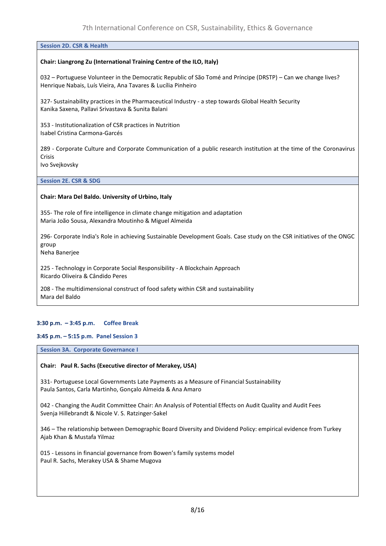#### **Session 2D. CSR & Health**

#### **Chair: Liangrong Zu (International Training Centre of the ILO, Italy)**

032 – Portuguese Volunteer in the Democratic Republic of São Tomé and Príncipe (DRSTP) – Can we change lives? Henrique Nabais, Luís Vieira, Ana Tavares & Lucília Pinheiro

327- Sustainability practices in the Pharmaceutical Industry - a step towards Global Health Security Kanika Saxena, Pallavi Srivastava & Sunita Balani

353 - Institutionalization of CSR practices in Nutrition Isabel Cristina Carmona-Garcés

289 - Corporate Culture and Corporate Communication of a public research institution at the time of the Coronavirus Crisis

Ivo Svejkovsky

**Session 2E. CSR & SDG**

#### **Chair: Mara Del Baldo. University of Urbino, Italy**

355- The role of fire intelligence in climate change mitigation and adaptation Maria João Sousa, Alexandra Moutinho & Miguel Almeida

296- Corporate India's Role in achieving Sustainable Development Goals. Case study on the CSR initiatives of the ONGC group

Neha Banerjee

225 - Technology in Corporate Social Responsibility - A Blockchain Approach Ricardo Oliveira & Cândido Peres

208 - The multidimensional construct of food safety within CSR and sustainability Mara del Baldo

#### $3:30$  p.m.  $-3:45$  p.m. **Coffee Break**

#### 3:45 p.m. - 5:15 p.m. Panel Session 3

#### **Session 3A. Corporate Governance I**

#### **Chair: Paul R. Sachs (Executive director of Merakey, USA)**

331- Portuguese Local Governments Late Payments as a Measure of Financial Sustainability Paula Santos, Carla Martinho, Gonçalo Almeida & Ana Amaro

042 - Changing the Audit Committee Chair: An Analysis of Potential Effects on Audit Quality and Audit Fees Svenja Hillebrandt & Nicole V. S. Ratzinger-Sakel

346 – The relationship between Demographic Board Diversity and Dividend Policy: empirical evidence from Turkey Ajab Khan & Mustafa Yilmaz

015 - Lessons in financial governance from Bowen's family systems model Paul R. Sachs, Merakey USA & Shame Mugova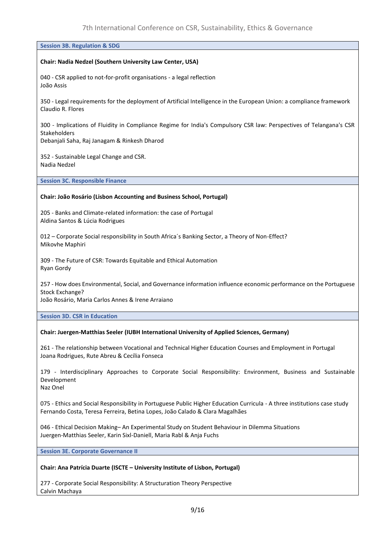#### **Session 3B. Regulation & SDG**

#### **Chair: Nadia Nedzel (Southern University Law Center, USA)**

040 - CSR applied to not-for-profit organisations - a legal reflection João Assis

350 - Legal requirements for the deployment of Artificial Intelligence in the European Union: a compliance framework Claudio R. Flores

300 - Implications of Fluidity in Compliance Regime for India's Compulsory CSR law: Perspectives of Telangana's CSR **Stakeholders** 

Debanjali Saha, Raj Janagam & Rinkesh Dharod

352 - Sustainable Legal Change and CSR. Nadia Nedzel

**Session 3C. Responsible Finance**

#### **Chair: João Rosário (Lisbon Accounting and Business School, Portugal)**

205 - Banks and Climate-related information: the case of Portugal Aldina Santos & Lúcia Rodrigues

012 – Corporate Social responsibility in South Africa´s Banking Sector, a Theory of Non-Effect? Mikovhe Maphiri

309 - The Future of CSR: Towards Equitable and Ethical Automation Ryan Gordy

257 - How does Environmental, Social, and Governance information influence economic performance on the Portuguese Stock Exchange?

João Rosário, Maria Carlos Annes & Irene Arraiano

**Session 3D. CSR in Education**

#### **Chair: Juergen-Matthias Seeler (IUBH International University of Applied Sciences, Germany)**

261 - The relationship between Vocational and Technical Higher Education Courses and Employment in Portugal Joana Rodrigues, Rute Abreu & Cecília Fonseca

179 - Interdisciplinary Approaches to Corporate Social Responsibility: Environment, Business and Sustainable Development

Naz Onel

075 - Ethics and Social Responsibility in Portuguese Public Higher Education Curricula - A three institutions case study Fernando Costa, Teresa Ferreira, Betina Lopes, João Calado & Clara Magalhães

046 - Ethical Decision Making– An Experimental Study on Student Behaviour in Dilemma Situations Juergen-Matthias Seeler, Karin Sixl-Daniell, Maria Rabl & Anja Fuchs

**Session 3E. Corporate Governance II**

#### **Chair: Ana Patrícia Duarte (ISCTE – University Institute of Lisbon, Portugal)**

277 - Corporate Social Responsibility: A Structuration Theory Perspective Calvin Machaya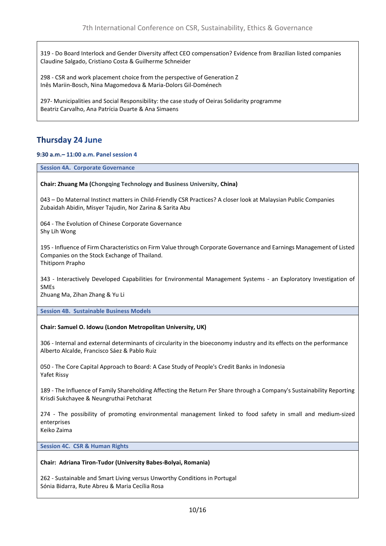319 - Do Board Interlock and Gender Diversity affect CEO compensation? Evidence from Brazilian listed companies Claudine Salgado, Cristiano Costa & Guilherme Schneider

298 - CSR and work placement choice from the perspective of Generation Z Inês Mariin-Bosch, Nina Magomedova & Maria-Dolors Gil-Doménech

297- Municipalities and Social Responsibility: the case study of Oeiras Solidarity programme Beatriz Carvalho, Ana Patrícia Duarte & Ana Simaens

## **Thursday 24 June**

9:30 a.m. - 11:00 a.m. Panel session 4

**Session 4A. Corporate Governance**

**Chair: Zhuang Ma (Chongqing Technology and Business University, China)**

043 – Do Maternal Instinct matters in Child-Friendly CSR Practices? A closer look at Malaysian Public Companies Zubaidah Abidin, Misyer Tajudin, Nor Zarina & Sarita Abu

064 - The Evolution of Chinese Corporate Governance Shy Lih Wong

195 - Influence of Firm Characteristics on Firm Value through Corporate Governance and Earnings Management of Listed Companies on the Stock Exchange of Thailand. Thitiporn Prapho

343 - Interactively Developed Capabilities for Environmental Management Systems - an Exploratory Investigation of SMEs

Zhuang Ma, Zihan Zhang & Yu Li

**Session 4B. Sustainable Business Models**

#### **Chair: Samuel O. Idowu (London Metropolitan University, UK)**

306 - Internal and external determinants of circularity in the bioeconomy industry and its effects on the performance Alberto Alcalde, Francisco Sáez & Pablo Ruiz

050 - The Core Capital Approach to Board: A Case Study of People's Credit Banks in Indonesia Yafet Rissy

189 - The Influence of Family Shareholding Affecting the Return Per Share through a Company's Sustainability Reporting Krisdi Sukchayee & Neungruthai Petcharat

274 - The possibility of promoting environmental management linked to food safety in small and medium-sized enterprises

Keiko Zaima

**Session 4C. CSR & Human Rights**

#### **Chair: Adriana Tiron-Tudor (University Babes-Bolyai, Romania)**

262 - Sustainable and Smart Living versus Unworthy Conditions in Portugal Sónia Bidarra, Rute Abreu & Maria Cecília Rosa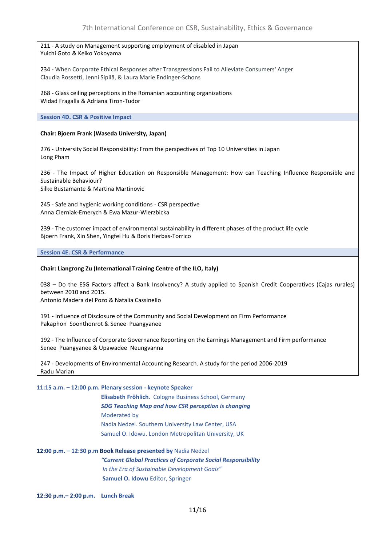| 211 - A study on Management supporting employment of disabled in Japan |  |
|------------------------------------------------------------------------|--|
| Yuichi Goto & Keiko Yokoyama                                           |  |

234 - When Corporate Ethical Responses after Transgressions Fail to Alleviate Consumers' Anger Claudia Rossetti, Jenni Sipilä, & Laura Marie Endinger-Schons

268 - Glass ceiling perceptions in the Romanian accounting organizations Widad Fragalla & Adriana Tiron-Tudor

**Session 4D. CSR & Positive Impact**

#### **Chair: Bjoern Frank (Waseda University, Japan)**

276 - University Social Responsibility: From the perspectives of Top 10 Universities in Japan Long Pham

236 - The Impact of Higher Education on Responsible Management: How can Teaching Influence Responsible and Sustainable Behaviour? Silke Bustamante & Martina Martinovic

245 - Safe and hygienic working conditions - CSR perspective Anna Cierniak-Emerych & Ewa Mazur-Wierzbicka

239 - The customer impact of environmental sustainability in different phases of the product life cycle Bjoern Frank, Xin Shen, Yingfei Hu & Boris Herbas-Torrico

**Session 4E. CSR & Performance**

#### **Chair: Liangrong Zu (International Training Centre of the ILO, Italy)**

038 – Do the ESG Factors affect a Bank Insolvency? A study applied to Spanish Credit Cooperatives (Cajas rurales) between 2010 and 2015.

Antonio Madera del Pozo & Natalia Cassinello

191 - Influence of Disclosure of the Community and Social Development on Firm Performance Pakaphon Soonthonrot & Senee Puangyanee

192 - The Influence of Corporate Governance Reporting on the Earnings Management and Firm performance Senee Puangyanee & Upawadee Neungvanna

247 - Developments of Environmental Accounting Research. A study for the period 2006-2019 Radu Marian

#### **11:15 a.m. – 12:00 p.m. Plenary session - keynote Speaker**

**Elisabeth Fröhlich**. Cologne Business School, Germany *SDG Teaching Map and how CSR perception is changing* Moderated by Nadia Nedzel. Southern University Law Center, USA Samuel O. Idowu. London Metropolitan University, UK

12:00 p.m. - 12:30 p.m Book Release presented by Nadia Nedzel *"Current Global Practices of Corporate Social Responsibility In the Era of Sustainable Development Goals"* **Samuel O. Idowu** Editor, Springer

12:30 p.m. - 2:00 p.m. Lunch Break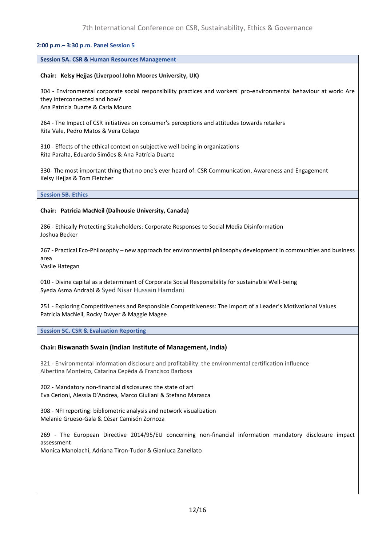#### 2:00 p.m.- 3:30 p.m. Panel Session 5

#### **Session 5A. CSR & Human Resources Management**

#### **Chair: Kelsy Hejjas (Liverpool John Moores University, UK)**

304 - Environmental corporate social responsibility practices and workers' pro-environmental behaviour at work: Are they interconnected and how? Ana Patrícia Duarte & Carla Mouro

264 - The Impact of CSR initiatives on consumer's perceptions and attitudes towards retailers Rita Vale, Pedro Matos & Vera Colaço

310 - Effects of the ethical context on subjective well-being in organizations Rita Paralta, Eduardo Simões & Ana Patrícia Duarte

330- The most important thing that no one's ever heard of: CSR Communication, Awareness and Engagement Kelsy Heijas & Tom Fletcher

**Session 5B. Ethics**

#### **Chair: Patricia MacNeil (Dalhousie University, Canada)**

286 - Ethically Protecting Stakeholders: Corporate Responses to Social Media Disinformation Joshua Becker

267 - Practical Eco-Philosophy – new approach for environmental philosophy development in communities and business area

Vasile Hategan

010 - Divine capital as a determinant of Corporate Social Responsibility for sustainable Well-being Syeda Asma Andrabi & Syed Nisar Hussain Hamdani

251 - Exploring Competitiveness and Responsible Competitiveness: The Import of a Leader's Motivational Values Patricia MacNeil, Rocky Dwyer & Maggie Magee

**Session 5C. CSR & Evaluation Reporting**

#### **Chair: Biswanath Swain (Indian Institute of Management, India)**

321 - Environmental information disclosure and profitability: the environmental certification influence Albertina Monteiro, Catarina Cepêda & Francisco Barbosa

202 - Mandatory non-financial disclosures: the state of art Eva Cerioni, Alessia D'Andrea, Marco Giuliani & Stefano Marasca

308 - NFI reporting: bibliometric analysis and network visualization Melanie Grueso-Gala & César Camisón Zornoza

269 - The European Directive 2014/95/EU concerning non-financial information mandatory disclosure impact assessment

Monica Manolachi, Adriana Tiron-Tudor & Gianluca Zanellato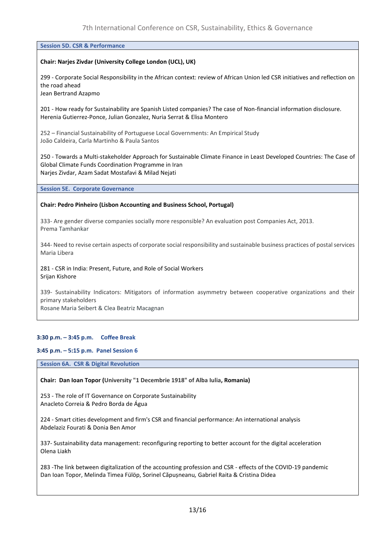#### **Session 5D. CSR & Performance**

#### **Chair: Narjes Zivdar (University College London (UCL), UK)**

299 - Corporate Social Responsibility in the African context: review of African Union led CSR initiatives and reflection on the road ahead

Jean Bertrand Azapmo

201 - How ready for Sustainability are Spanish Listed companies? The case of Non-financial information disclosure. Herenia Gutierrez-Ponce, Julian Gonzalez, Nuria Serrat & Elisa Montero

252 – Financial Sustainability of Portuguese Local Governments: An Empirical Study João Caldeira, Carla Martinho & Paula Santos

250 - Towards a Multi-stakeholder Approach for Sustainable Climate Finance in Least Developed Countries: The Case of Global Climate Funds Coordination Programme in Iran Narjes Zivdar, Azam Sadat Mostafavi & Milad Nejati

**Session 5E. Corporate Governance**

#### **Chair: Pedro Pinheiro (Lisbon Accounting and Business School, Portugal)**

333- Are gender diverse companies socially more responsible? An evaluation post Companies Act, 2013. Prema Tamhankar

344- Need to revise certain aspects of corporate social responsibility and sustainable business practices of postal services Maria Libera

281 - CSR in India: Present, Future, and Role of Social Workers Srijan Kishore

339- Sustainability Indicators: Mitigators of information asymmetry between cooperative organizations and their primary stakeholders

Rosane Maria Seibert & Clea Beatriz Macagnan

#### 3:30 p.m. - 3:45 p.m. Coffee Break

#### 3:45 p.m. - 5:15 p.m. Panel Session 6

**Session 6A. CSR & Digital Revolution**

**Chair: Dan Ioan Topor (University "1 Decembrie 1918" of Alba Iulia, Romania)**

253 - The role of IT Governance on Corporate Sustainability Anacleto Correia & Pedro Borda de Água

224 - Smart cities development and firm's CSR and financial performance: An international analysis Abdelaziz Fourati & Donia Ben Amor

337- Sustainability data management: reconfiguring reporting to better account for the digital acceleration Olena Liakh

283 -The link between digitalization of the accounting profession and CSR - effects of the COVID-19 pandemic Dan Ioan Topor, Melinda Timea Fülöp, Sorinel Căpușneanu*,* Gabriel Raita & Cristina Didea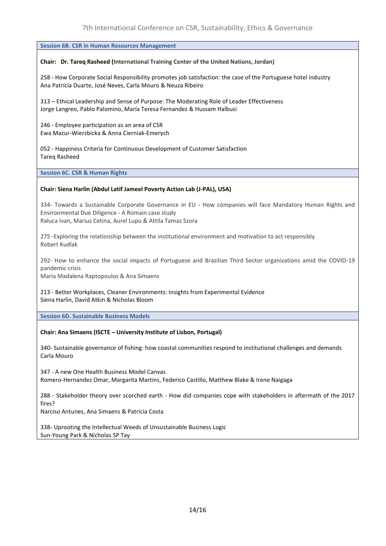**Session 6B. CSR in Human Resources Management**

#### **Chair: Dr. Tareq Rasheed (International Training Center of the United Nations, Jordan)**

258 - How Corporate Social Responsibility promotes job satisfaction: the case of the Portuguese hotel industry Ana Patrícia Duarte, José Neves, Carla Mouro & Neuza Ribeiro

313 – Ethical Leadership and Sense of Purpose: The Moderating Role of Leader Effectiveness Jorge Langreo, Pablo Palomino, María Teresa Fernandez & Hussam Halbusi

246 - Employee participation as an area of CSR Ewa Mazur-Wierzbicka & Anna Cierniak-Emerych

052 - Happiness Criteria for Continuous Development of Customer Satisfaction Tareq Rasheed

**Session 6C. CSR & Human Rights**

#### **Chair: Siena Harlin (Abdul Latif Jameel Poverty Action Lab (J-PAL), USA)**

334- Towards a Sustainable Corporate Governance in EU - How companies will face Mandatory Human Rights and Environmental Due Diligence - A Romain case study Raluca Ivan, Marius Cetina, Aurel Lupu & Attila Tamas Szora

275 -Exploring the relationship between the institutional environment and motivation to act responsibly Robert Kudlak

292- How to enhance the social impacts of Portuguese and Brazilian Third Sector organizations amid the COVID-19 pandemic crisis

Maria Madalena Raptopoulos & Ana Simaens

213 - Better Workplaces, Cleaner Environments: Insights from Experimental Evidence Siena Harlin, David Atkin & Nicholas Bloom

**Session 6D. Sustainable Business Models**

#### **Chair: Ana Simaens (ISCTE – University Institute of Lisbon, Portugal)**

340- Sustainable governance of fishing: how coastal communities respond to institutional challenges and demands Carla Mouro

347 - A new One Health Business Model Canvas Romero-Hernandez Omar, Margarita Martins, Federico Castillo, Matthew Blake & Irene Naigaga

288 - Stakeholder theory over scorched earth - How did companies cope with stakeholders in aftermath of the 2017 fires?

Narciso Antunes, Ana Simaens & Patrícia Costa

338- Uprooting the Intellectual Weeds of Unsustainable Business Logic Sun-Young Park & Nicholas SP Tay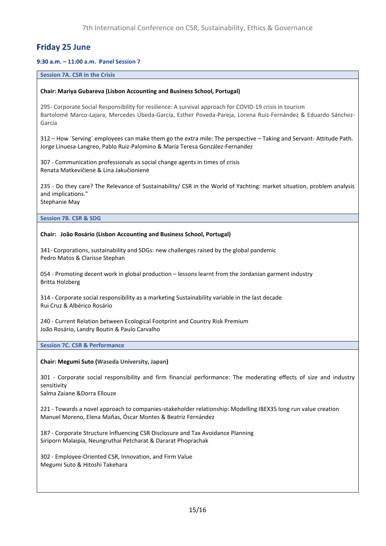### **Friday 25 June**

#### 9:30 a.m. - 11:00 a.m. Panel Session 7

#### **Session 7A. CSR in the Crisis**

#### **Chair: Mariya Gubareva (Lisbon Accounting and Business School, Portugal)**

295- Corporate Social Responsibility for resilience: A survival approach for COVID-19 crisis in tourism Bartolomé Marco-Lajara, Mercedes Úbeda-García, Esther Poveda-Pareja, Lorena Ruiz-Fernández & Eduardo Sánchez-García

312 – How ´Serving´ employees can make them go the extra mile: The perspective – Taking and Servant- Attitude Path. Jorge Linuesa-Langreo, Pablo Ruiz-Palomino & María Teresa González-Fernandez

307 - Communication professionals as social change agents in times of crisis Renata Matkevičienė & Lina Jakučionienė

235 - Do they care? The Relevance of Sustainability/ CSR in the World of Yachting: market situation, problem analysis and implications."

Stephanie May

**Session 7B. CSR & SDG**

#### **Chair: João Rosário (Lisbon Accounting and Business School, Portugal)**

341- Corporations, sustainability and SDGs: new challenges raised by the global pandemic Pedro Matos & Clarisse Stephan

054 - Promoting decent work in global production – lessons learnt from the Jordanian garment industry Britta Holzberg

314 - Corporate social responsibility as a marketing Sustainability variable in the last decade Rui Cruz & Albérico Rosário

240 - Current Relation between Ecological Footprint and Country Risk Premium João Rosário, Landry Boutin & Paulo Carvalho

#### **Session 7C. CSR & Performance**

**Chair: Megumi Suto (Waseda University, Japan)**

301 - Corporate social responsibility and firm financial performance: The moderating effects of size and industry sensitivity

Salma Zaiane &Dorra Ellouze

221 - Towards a novel approach to companies-stakeholder relationship: Modelling IBEX35 long run value creation Manuel Moreno, Elena Mañas, Óscar Montes & Beatriz Fernández

187 - Corporate Structure Influencing CSR Disclosure and Tax Avoidance Planning Siriporn Malaipia, Neungruthai Petcharat & Dararat Phoprachak

302 - Employee-Oriented CSR, Innovation, and Firm Value Megumi Suto & Hitoshi Takehara